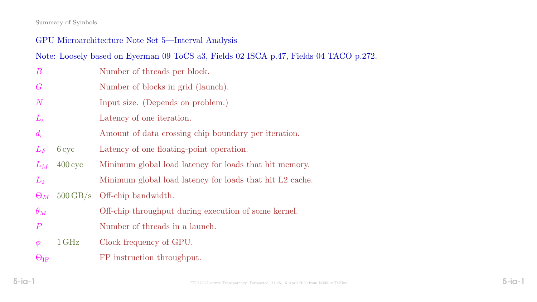#### Summary of Symbols

# GPU Microarchitecture Note Set 5—Interval Analysis

Note: Loosely based on Eyerman 09 ToCS a3, Fields 02 ISCA p.47, Fields 04 TACO p.272.

- B Number of threads per block.
- G Number of blocks in grid (launch).
- N Input size. (Depends on problem.)
- $L_{\iota}$  Latency of one iteration.
- $d_{\iota}$  Amount of data crossing chip boundary per iteration.
- $L_F$  6 cyc Latency of one floating-point operation.
- $L_M$  400 cyc Minimum global load latency for loads that hit memory.
- L<sub>2</sub> Minimum global load latency for loads that hit L<sub>2</sub> cache.
- $\Theta_M$  500 GB/s Off-chip bandwidth.
- $\theta_M$  Off-chip throughput during execution of some kernel.
- P Number of threads in a launch.
- $\phi$  1 GHz Clock frequency of GPU.
- $\Theta$ <sub>IF</sub> FP instruction throughput.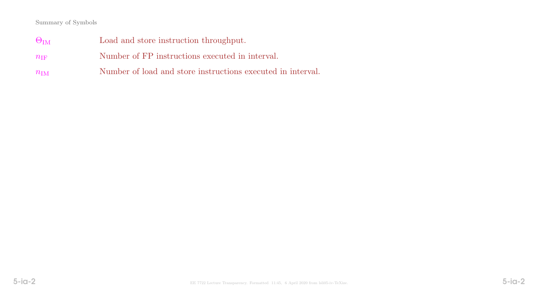#### Summary of Symbols

 $\Theta_{\text{IM}}$  Load and store instruction throughput.  $n_{\text{IF}}$  Number of FP instructions executed in interval.  $n_{\text{IM}}$  Number of load and store instructions executed in interval.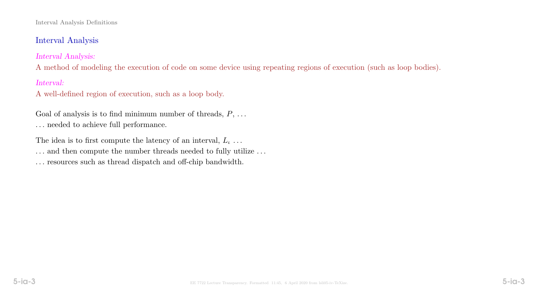#### Interval Analysis Definitions

# Interval Analysis

Interval Analysis:

A method of modeling the execution of code on some device using repeating regions of execution (such as loop bodies).

Interval:

A well-defined region of execution, such as a loop body.

Goal of analysis is to find minimum number of threads,  $P, \ldots$  $\ldots$  needed to achieve full performance.

The idea is to first compute the latency of an interval,  $L_{\iota} \dots$  $\ldots$  and then compute the number threads needed to fully utilize  $\ldots$ . . . resources such as thread dispatch and off-chip bandwidth.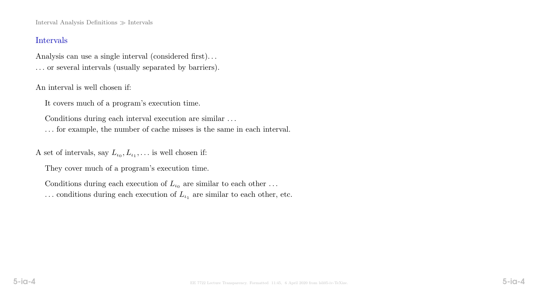Interval Analysis Definitions  $\gg$  Intervals

## Intervals

Analysis can use a single interval (considered first). . . . . . or several intervals (usually separated by barriers).

An interval is well chosen if:

It covers much of a program's execution time.

Conditions during each interval execution are similar . . .

. . . for example, the number of cache misses is the same in each interval.

A set of intervals, say  $L_{\iota_0}, L_{\iota_1}, \ldots$  is well chosen if:

They cover much of a program's execution time.

Conditions during each execution of  $L_{\iota_0}$  are similar to each other ...  $\ldots$  conditions during each execution of  $L_{\iota_1}$  are similar to each other, etc.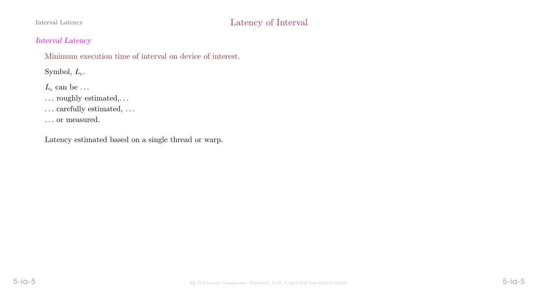# Interval Latency Contract Contract Contract Contract Contract Contract Contract Contract Contract Contract Contract Contract Contract Contract Contract Contract Contract Contract Contract Contract Contract Contract Contrac

## Interval Latency

Minimum execution time of interval on device of interest.

Symbol,  $L_{\iota}$ .

 $L_{\iota}$  can be ...

 $\dots$  roughly estimated,  $\dots$ 

 $\dots$  carefully estimated,  $\dots$ 

. . . or measured.

Latency estimated based on a single thread or warp.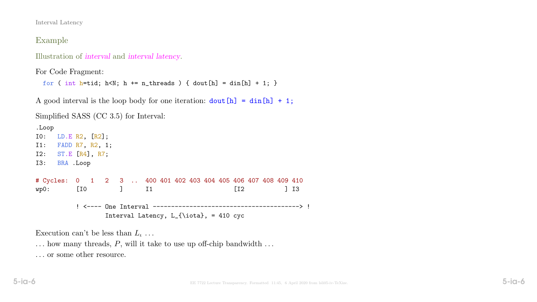Interval Latency

## Example

Illustration of interval and interval latency.

For Code Fragment:

```
for ( int h=tid; h<N; h += n_threads ) { dout [h] = din[h] + 1; }
```
A good interval is the loop body for one iteration:  $\text{dout}[h] = \text{din}[h] + 1$ ;

Simplified SASS (CC 3.5) for Interval:

.Loop I0: LD.E R2, [R2]; I1: FADD R7, R2, 1; I2: ST.E [R4], R7; I3: BRA .Loop # Cycles: 0 1 2 3 .. 400 401 402 403 404 405 406 407 408 409 410 wp0: [I0 ] I1 [I2 ] I3 ! <---- One Interval ----------------------------------------> ! Interval Latency,  $L_{\iota}$  = 410 cyc

Execution can't be less than  $L_i$ ...

 $\ldots$  how many threads, P, will it take to use up off-chip bandwidth  $\ldots$ 

. . . or some other resource.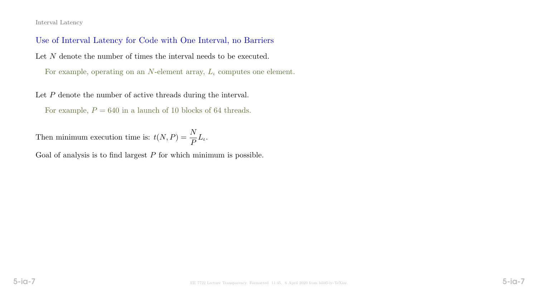#### Interval Latency

Use of Interval Latency for Code with One Interval, no Barriers Let N denote the number of times the interval needs to be executed. For example, operating on an N-element array,  $L_{\iota}$  computes one element.

Let P denote the number of active threads during the interval.

For example,  $P = 640$  in a launch of 10 blocks of 64 threads.

Then minimum execution time is:  $t(N, P) = \frac{N}{P}$ P  $L_{\iota}$ .

Goal of analysis is to find largest  $P$  for which minimum is possible.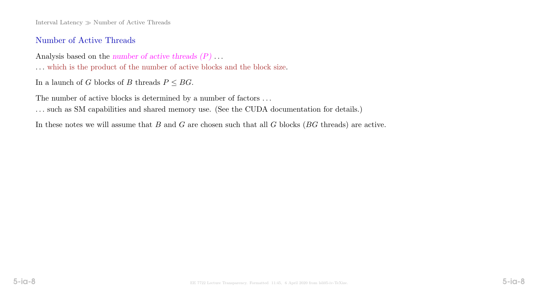Interval Latency  $\gg$  Number of Active Threads

## Number of Active Threads

Analysis based on the number of active threads  $(P) \dots$ . . . which is the product of the number of active blocks and the block size.

In a launch of G blocks of B threads  $P \leq BG$ .

The number of active blocks is determined by a number of factors  $\ldots$ . . . such as SM capabilities and shared memory use. (See the CUDA documentation for details.)

In these notes we will assume that  $B$  and  $G$  are chosen such that all  $G$  blocks ( $BG$  threads) are active.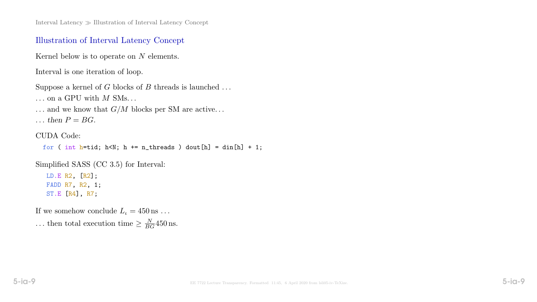Interval Latency Illustration of Interval Latency Concept

### Illustration of Interval Latency Concept

Kernel below is to operate on N elements.

Interval is one iteration of loop.

```
Suppose a kernel of G blocks of B threads is launched \dots
```
 $\ldots$  on a GPU with  $M$  SMs...

 $\ldots$  and we know that  $G/M$  blocks per SM are active...

 $\ldots$  then  $P = BG$ .

#### CUDA Code:

```
for ( int h=tid; h<N; h += n_threads ) dout[h] = din[h] + 1;
```
Simplified SASS (CC 3.5) for Interval:

LD.E R2, [R2]; FADD R7, R2, 1; ST.E [R4], R7;

If we somehow conclude  $L_{\iota} = 450 \,\mathrm{ns} \ldots$ ... then total execution time  $\geq \frac{N}{BG}$ 450 ns.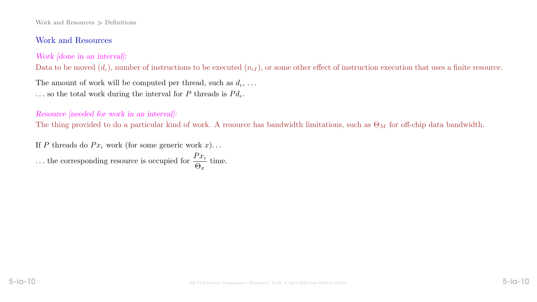#### Work and Resources  $\gg$  Definitions

## Work and Resources

## Work [done in an interval]:

Data to be moved  $(d_{\iota})$ , number of instructions to be executed  $(n_{\iota I})$ , or some other effect of instruction execution that uses a finite resource.

The amount of work will be computed per thread, such as  $d_t, \ldots$ ... so the total work during the interval for P threads is  $Pd_t$ .

## Resource [needed for work in an interval]:

The thing provided to do a particular kind of work. A resource has bandwidth limitations, such as  $\Theta_M$  for off-chip data bandwidth.

If P threads do  $Px_t$  work (for some generic work x)...

... the corresponding resource is occupied for  $\frac{Px_t}{Q}$  $\Theta_x$ time.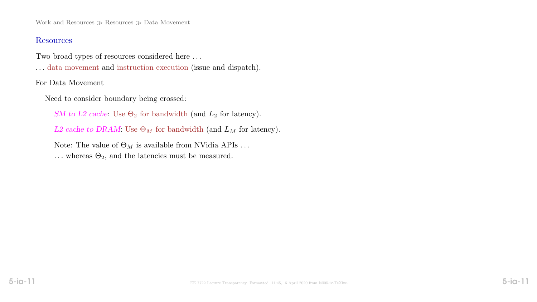Work and Resources  $\gg$  Resources  $\gg$  Data Movement

#### Resources

Two broad types of resources considered here . . .

. . . data movement and instruction execution (issue and dispatch).

For Data Movement

Need to consider boundary being crossed:

SM to L2 cache: Use  $\Theta_2$  for bandwidth (and  $L_2$  for latency).

L2 cache to DRAM: Use  $\Theta_M$  for bandwidth (and  $L_M$  for latency).

Note: The value of  $\Theta_M$  is available from NVidia APIs ...

... whereas  $\Theta_2$ , and the latencies must be measured.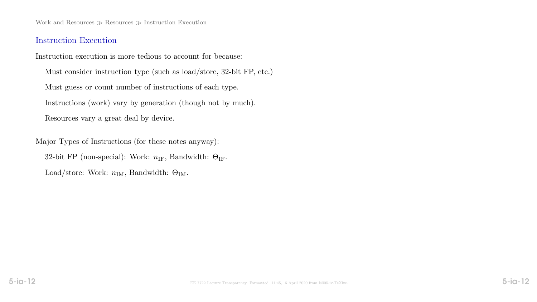Work and Resources  $\gg$  Resources  $\gg$  Instruction Execution

#### Instruction Execution

Instruction execution is more tedious to account for because:

Must consider instruction type (such as load/store, 32-bit FP, etc.) Must guess or count number of instructions of each type. Instructions (work) vary by generation (though not by much). Resources vary a great deal by device.

Major Types of Instructions (for these notes anyway): 32-bit FP (non-special): Work:  $n_{\text{IF}}$ , Bandwidth:  $\Theta_{\text{IF}}$ . Load/store: Work:  $n_{IM}$ , Bandwidth:  $\Theta_{IM}$ .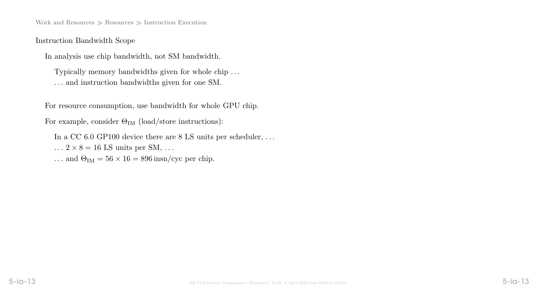Work and Resources  $\gg$  Resources  $\gg$  Instruction Execution

Instruction Bandwidth Scope

In analysis use chip bandwidth, not SM bandwidth.

Typically memory bandwidths given for whole chip . . . . . . and instruction bandwidths given for one SM.

For resource consumption, use bandwidth for whole GPU chip.

For example, consider  $\Theta_{IM}$  (load/store instructions):

In a CC 6.0 GP100 device there are 8 LS units per scheduler, ...

- $\ldots$  2 × 8 = 16 LS units per SM,  $\ldots$
- ... and  $\Theta_{IM} = 56 \times 16 = 896 \text{ insn/cyc per chip.}$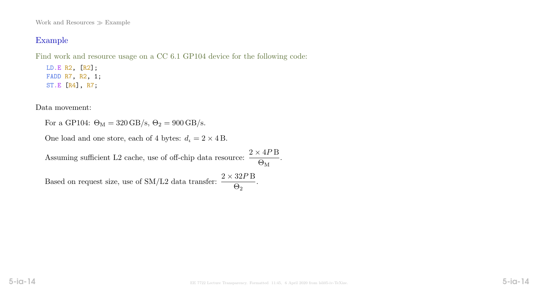Work and Resources  $\gg$  Example

# Example

Find work and resource usage on a CC 6.1 GP104 device for the following code:

LD.E R2, [R2]; FADD R7, R2, 1; ST.E [R4], R7;

Data movement:

For a GP104:  $\Theta_M = 320 \text{ GB/s}, \Theta_2 = 900 \text{ GB/s}.$ 

One load and one store, each of 4 bytes:  $d_t = 2 \times 4$  B.

Assuming sufficient L2 cache, use of off-chip data resource:  $\frac{2 \times 4P}{Q}$  $\Theta_{\rm M}$ . Based on request size, use of SM/L2 data transfer:  $\frac{2 \times 32P}{Q}$  $\Theta_2$ .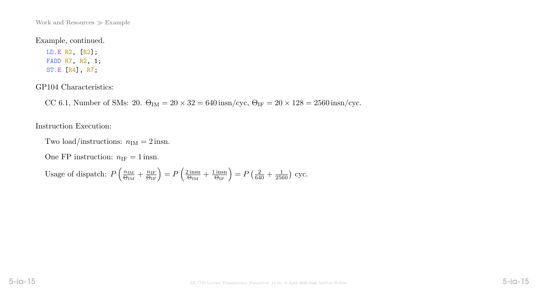Work and Resources  $\gg$  Example

#### Example, continued.

LD.E R2, [R2]; FADD R7, R2, 1; ST.E [R4], R7;

#### GP104 Characteristics:

CC 6.1, Number of SMs: 20.  $\Theta_{IM} = 20 \times 32 = 640 \text{insn/cyc}$ ,  $\Theta_{IF} = 20 \times 128 = 2560 \text{insn/cyc}$ .

#### Instruction Execution:

Two load/instructions:  $n_{\text{IM}} = 2$  insn.

One FP instruction:  $n_{IF} = 1$  insn.

Usage of dispatch:  $P\left(\frac{n_{\text{IM}}}{P_{\text{DM}}} \right)$  $\frac{n_{\rm IM}}{\Theta_{\rm IM}} + \frac{n_{\rm IF}}{\Theta_{\rm IF}} \Big) = P \left( \frac{2 \, {\rm insn}}{\Theta_{\rm IM}} \right)$  $\frac{2 \text{ insn}}{\Theta_{\text{IM}}} + \frac{1 \text{ insn}}{\Theta_{\text{IF}}}$  =  $P\left(\frac{2}{640} + \frac{1}{2560}\right)$  cyc.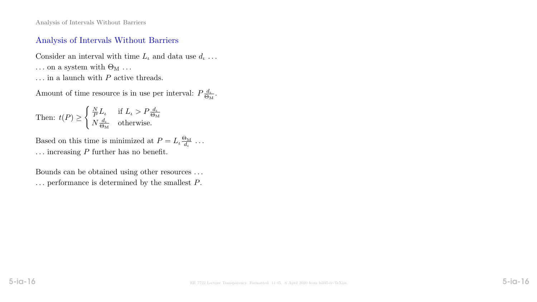Analysis of Intervals Without Barriers

### Analysis of Intervals Without Barriers

Consider an interval with time  $L_t$  and data use  $d_t$ ...  $\ldots$  on a system with  $\Theta_{\mathrm{M}}$   $\ldots$ ... in a launch with  $P$  active threads.

Amount of time resource is in use per interval:  $P\frac{d_l}{\Theta_l}$  $\frac{d_\iota}{\Theta_\mathrm{M}}.$ 

Then: 
$$
t(P) \ge \begin{cases} \frac{N}{P}L_{\iota} & \text{if } L_{\iota} > P\frac{d_{\iota}}{\Theta_M} \\ N\frac{d_{\iota}}{\Theta_M} & \text{otherwise.} \end{cases}
$$

Based on this time is minimized at  $P = L_{\iota} \frac{\Theta_M}{d_{\iota}}$  $\frac{\partial M}{\partial t}$  ...  $\ldots$  increasing P further has no benefit.

Bounds can be obtained using other resources . . .  $\ldots$  performance is determined by the smallest  $P.$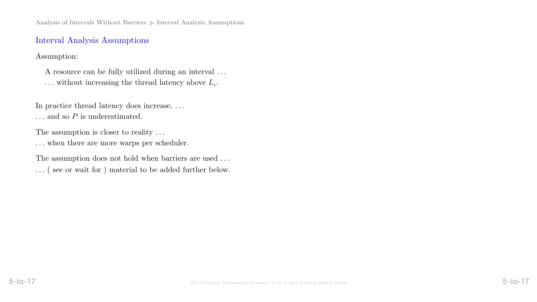Analysis of Intervals Without Barriers  $\gg$  Interval Analysis Assumptions

### Interval Analysis Assumptions

Assumption:

A resource can be fully utilized during an interval . . .  $\ldots$  without increasing the thread latency above  $L_{\iota}$ .

In practice thread latency does increase, . . .

 $\ldots$  and so  $P$  is underestimated.

The assumption is closer to reality ...

 $\ldots$  when there are more warps per scheduler.

The assumption does not hold when barriers are used ... . . . ( see or wait for ) material to be added further below.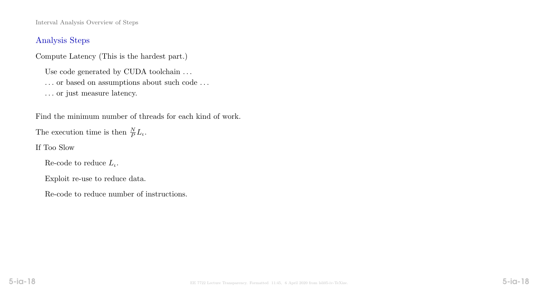Interval Analysis Overview of Steps

## Analysis Steps

Compute Latency (This is the hardest part.)

Use code generated by CUDA toolchain ...

 $\ldots$  or based on assumptions about such code  $\ldots$ 

. . . or just measure latency.

Find the minimum number of threads for each kind of work.

The execution time is then  $\frac{N}{P}L_{\iota}$ .

If Too Slow

Re-code to reduce  $L_{\iota}$ .

Exploit re-use to reduce data.

Re-code to reduce number of instructions.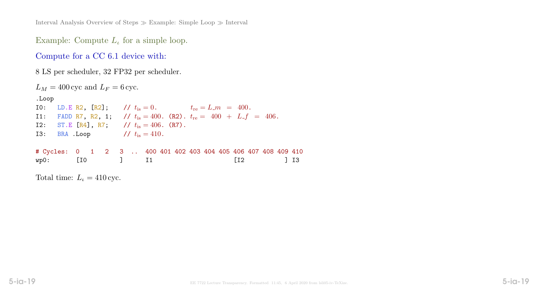Interval Analysis Overview of Steps  $\gg$  Example: Simple Loop  $\gg$  Interval

Example: Compute  $L_t$  for a simple loop.

Compute for a CC 6.1 device with:

8 LS per scheduler, 32 FP32 per scheduler.

| $L_M = 400 \text{ cyc}$ and $L_F = 6 \text{ cyc}$ .                                                                                                                                                                                                                                                                                                                                        |  |  |  |  |  |  |                                    |  |               |
|--------------------------------------------------------------------------------------------------------------------------------------------------------------------------------------------------------------------------------------------------------------------------------------------------------------------------------------------------------------------------------------------|--|--|--|--|--|--|------------------------------------|--|---------------|
| .Loop                                                                                                                                                                                                                                                                                                                                                                                      |  |  |  |  |  |  |                                    |  |               |
| 10: LD.E R2, [R2]; // $t_{\text{is}} = 0$ . $t_{\text{re}} = L_{\text{m}} = 400$ .                                                                                                                                                                                                                                                                                                         |  |  |  |  |  |  |                                    |  |               |
| 11: FADD R7, R2, 1; // $t_{\text{is}} = 400$ . (R2). $t_{\text{re}} = 400 + L_f = 406$ .                                                                                                                                                                                                                                                                                                   |  |  |  |  |  |  |                                    |  |               |
| I2: ST.E [R4], R7; // $t_{\text{is}} = 406$ . (R7).                                                                                                                                                                                                                                                                                                                                        |  |  |  |  |  |  |                                    |  |               |
| I3: BRA Loop $\frac{1}{s} = 410$ .                                                                                                                                                                                                                                                                                                                                                         |  |  |  |  |  |  |                                    |  |               |
|                                                                                                                                                                                                                                                                                                                                                                                            |  |  |  |  |  |  |                                    |  |               |
| # Cycles: 0 1 2 3  400 401 402 403 404 405 406 407 408 409 410                                                                                                                                                                                                                                                                                                                             |  |  |  |  |  |  |                                    |  |               |
| wp0: [I0 ] I1                                                                                                                                                                                                                                                                                                                                                                              |  |  |  |  |  |  | $\begin{bmatrix} 12 \end{bmatrix}$ |  | $\frac{1}{3}$ |
|                                                                                                                                                                                                                                                                                                                                                                                            |  |  |  |  |  |  |                                    |  |               |
| $T_{\alpha}$ + $\lambda$ + $\lambda$ + $\lambda$ + $\lambda$ + $\lambda$ + $\lambda$ + $\lambda$ + $\lambda$ + $\lambda$ + $\lambda$ + $\lambda$ + $\lambda$ + $\lambda$ + $\lambda$ + $\lambda$ + $\lambda$ + $\lambda$ + $\lambda$ + $\lambda$ + $\lambda$ + $\lambda$ + $\lambda$ + $\lambda$ + $\lambda$ + $\lambda$ + $\lambda$ + $\lambda$ + $\lambda$ + $\lambda$ + $\lambda$ + $\$ |  |  |  |  |  |  |                                    |  |               |

Total time:  $L_{\iota} = 410 \text{ cyc.}$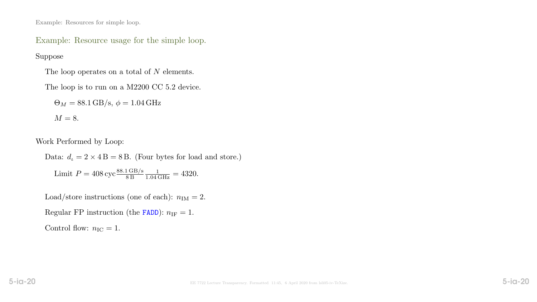Example: Resources for simple loop.

Example: Resource usage for the simple loop.

Suppose

The loop operates on a total of N elements.

The loop is to run on a M2200 CC 5.2 device.

 $\Theta_M = 88.1 \text{ GB/s}, \phi = 1.04 \text{ GHz}$ 

$$
M=8.
$$

Work Performed by Loop:

Data:  $d_t = 2 \times 4B = 8B$ . (Four bytes for load and store.) Limit  $P = 408 \text{ cyc} \frac{88.1 \text{ GB/s}}{8 \text{ B}}$  $\frac{1}{1.04 \text{ GHz}} = 4320.$ 

Load/store instructions (one of each):  $n_{\text{IM}} = 2$ .

Regular FP instruction (the FADD):  $n_{\text{IF}} = 1$ .

Control flow:  $n_{\rm IC} = 1$ .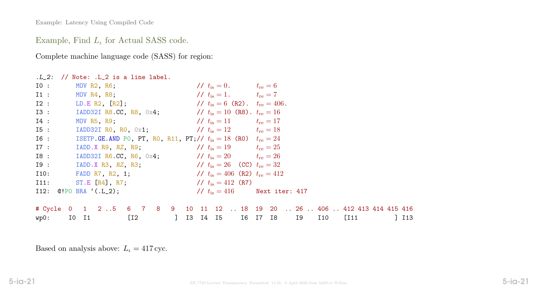# Example, Find  $L_t$  for Actual SASS code.

Complete machine language code (SASS) for region:

|        | $.L_2$ : // Note: $.L_2$ is a line label.                                                                       |                                        |                                                                          |
|--------|-----------------------------------------------------------------------------------------------------------------|----------------------------------------|--------------------------------------------------------------------------|
|        | IO: MOV R2, R6;                                                                                                 | // $t_{\rm is} = 0$ . $t_{\rm re} = 6$ |                                                                          |
|        | 11 : MOV R4, R8; $\frac{1}{t_{\text{is}}}=1$ . $t_{\text{re}}=7$                                                |                                        |                                                                          |
|        | 12 : LD.E R2, [R2]; $/t_{\text{is}} = 6$ (R2). $t_{\text{re}} = 406$ .                                          |                                        |                                                                          |
|        | 13 : IADD32I R8.CC, R8, 0x4; // $t_{\text{is}} = 10$ (R8). $t_{\text{re}} = 16$                                 |                                        |                                                                          |
| $I4$ : | MOV R5, R9; $\frac{1}{t_{\text{is}}} = 11$ $t_{\text{re}} = 17$                                                 |                                        |                                                                          |
| I5:    | <b>IADD32I RO, RO,</b> $0 \times 1$ ; $\frac{1}{100}$ $\frac{1}{100}$ $t_{\text{is}} = 12$ $t_{\text{re}} = 18$ |                                        |                                                                          |
| $I6$ : | ISETP.GE.AND PO, PT, RO, R11, PT;// $t_{\rm is} = 18$ (RO) $t_{\rm re} = 24$                                    |                                        |                                                                          |
| $I7$ : | TADD.X R9, RZ, R9; $1/7 t_{\text{is}} = 19$ $t_{\text{re}} = 25$                                                |                                        |                                                                          |
| 18:    | <b>IADD32I R6.CC, R6,</b> 0x4; $\frac{1}{t_{\text{is}}} = 20$ $t_{\text{re}} = 26$                              |                                        |                                                                          |
|        | 19 : IADD.X R3, RZ, R3; $10 t_{\text{is}} = 26$ (CC) $t_{\text{re}} = 32$                                       |                                        |                                                                          |
|        | 110: FADD R7, R2, 1; $\frac{1}{k} = 406$ (R2) $t_{\text{re}} = 412$                                             |                                        |                                                                          |
|        | 111: ST.E [R4], R7; $// t_{is} = 412$ (R7)                                                                      |                                        |                                                                          |
|        | 112: 0!PO BRA '(.L_2); $\frac{1}{2}$ // $t_{\rm is} = 416$ Next iter: 417                                       |                                        |                                                                          |
|        |                                                                                                                 |                                        |                                                                          |
|        |                                                                                                                 |                                        | # Cycle 0 1 2 5 6 7 8 9 10 11 12  18 19 20  26  406  412 413 414 415 416 |
|        |                                                                                                                 |                                        | wp0: I0 I1 [I2 ] I3 I4 I5 I6 I7 I8 I9 I10 [I11 ] I13                     |

Based on analysis above:  $L_{\iota} = 417 \text{ cyc.}$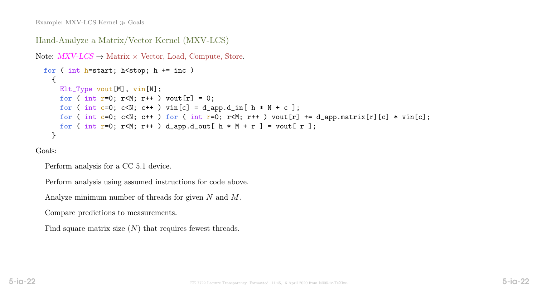```
Hand-Analyze a Matrix/Vector Kernel (MXV-LCS)
Note: MXV\text{-}LCS \rightarrow \text{Matrix} \times \text{Vector}, Load, Compute, Store.
  for ( int h=start; h<stop; h += inc )
    \mathcal{L}Elt_Type vout[M], vin[N];
      for ( int r=0; r<M; r++ ) vout[r] = 0;
      for ( int c=0; c<N; c++ ) vin[c] = d_app.d_in[ h * N + c ];
      for ( int c=0; c<N; c++ ) for ( int r=0; r<M; r++ ) vout[r] += d_app.matrix[r][c] * vin[c];
      for ( int r=0; r<M; r++ ) d_app.d_out[ h * M + r ] = vout[ r ];
    }
```
Goals:

Perform analysis for a CC 5.1 device.

Perform analysis using assumed instructions for code above.

Analyze minimum number of threads for given N and M.

Compare predictions to measurements.

Find square matrix size  $(N)$  that requires fewest threads.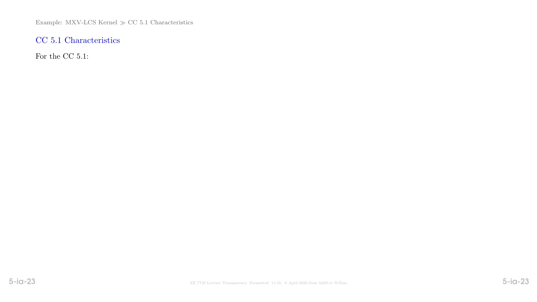Example: MXV-LCS Kernel  $\gg$  CC 5.1 Characteristics

# CC 5.1 Characteristics

For the CC 5.1: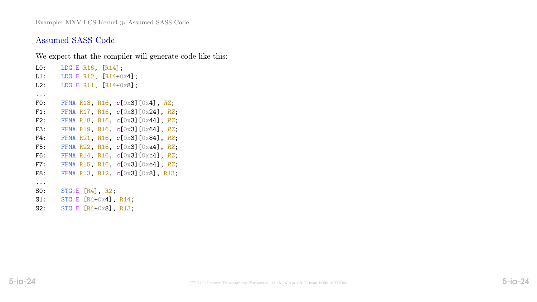Example: MXV-LCS Kernel  $\gg$  Assumed SASS Code

#### Assumed SASS Code

We expect that the compiler will generate code like this:

L0: LDG.E R16, [R14]; L1: LDG.E R12,  $[R14+0x4]$ ; L2: LDG.E R11, [R14+0x8]; ... FO: FFMA R13, R16,  $c$ [0x3][0x4], RZ; F1: FFMA R17, R16, c[0x3][0x24], RZ; F2: FFMA R18, R16,  $c[0x3][0x44]$ , RZ; F3: FFMA R19, R16,  $c[0x3][0x64]$ , RZ; F4: FFMA R21, R16,  $c[0x3]$ [0x84], RZ; F5: FFMA R22, R16,  $c[0x3][0xa4]$ , RZ; F6: FFMA R14, R16,  $c[0x3][0xc4]$ , RZ; F7: FFMA R15, R16,  $c[0x3][0xe4]$ , RZ; F8: FFMA R13, R12, c[0x3][0x8], R13; ... S0: STG.E [R4], R2; S1: STG.E [R4+0x4], R14; S2: STG.E [R4+0x8], R13;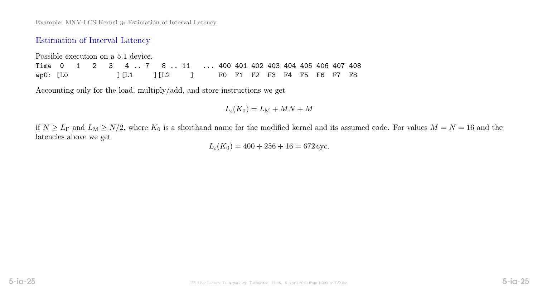## Estimation of Interval Latency

Possible execution on a 5.1 device. Time 0 1 2 3 4 .. 7 8 .. 11 ... 400 401 402 403 404 405 406 407 408 wp0: [L0 ][L1 ][L2 ] F0 F1 F2 F3 F4 F5 F6 F7 F8

Accounting only for the load, multiply/add, and store instructions we get

 $L_{\iota}(K_0) = L_{\mathrm{M}} + MN + M$ 

if  $N \ge L_F$  and  $L_M \ge N/2$ , where  $K_0$  is a shorthand name for the modified kernel and its assumed code. For values  $M = N = 16$  and the latencies above we get

 $L_{\iota}(K_0) = 400 + 256 + 16 = 672 \text{ cyc.}$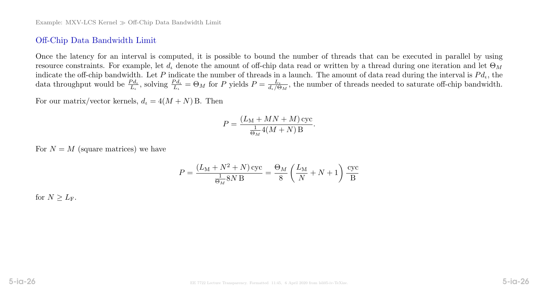## Off-Chip Data Bandwidth Limit

Once the latency for an interval is computed, it is possible to bound the number of threads that can be executed in parallel by using resource constraints. For example, let  $d_t$  denote the amount of off-chip data read or written by a thread during one iteration and let  $\Theta_M$ indicate the off-chip bandwidth. Let P indicate the number of threads in a launch. The amount of data read during the interval is  $Pd_t$ , the data throughput would be  $\frac{Pd_{\iota}}{L_{\iota}}$ , solving  $\frac{Pd_{\iota}}{L_{\iota}} = \Theta_M$  for P yields  $P = \frac{L_{\iota}}{d_{\iota}/\Theta}$  $\frac{L_t}{d_t/\Theta_M}$ , the number of threads needed to saturate off-chip bandwidth.

For our matrix/vector kernels,  $d_t = 4(M + N)$  B. Then

$$
P = \frac{(L_M + MN + M)\,\text{cyc}}{\frac{1}{\Theta_M}4(M + N) \,\text{B}}.
$$

For  $N = M$  (square matrices) we have

$$
P = \frac{(L_M + N^2 + N)\csc}{\frac{1}{\Theta_M} 8N \, \text{B}} = \frac{\Theta_M}{8} \left(\frac{L_M}{N} + N + 1\right) \frac{\csc}{B}
$$

for  $N > L_F$ .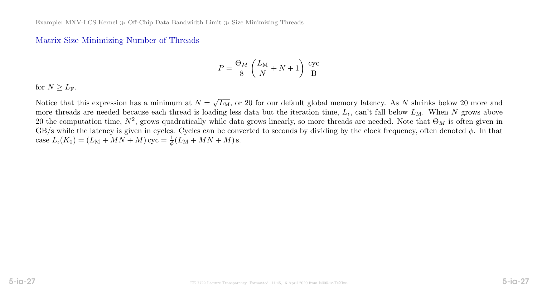#### Matrix Size Minimizing Number of Threads

$$
P = \frac{\Theta_M}{8} \left( \frac{L_M}{N} + N + 1 \right) \frac{\text{cyc}}{B}
$$

for  $N \geq L_{\rm F}$ .

Notice that this expression has a minimum at  $N =$ √  $\overline{L_{\rm M}}$ , or 20 for our default global memory latency. As N shrinks below 20 more and more threads are needed because each thread is loading less data but the iteration time,  $L_t$ , can't fall below  $L_M$ . When N grows above 20 the computation time,  $N^2$ , grows quadratically while data grows linearly, so more threads are needed. Note that  $\Theta_M$  is often given in GB/s while the latency is given in cycles. Cycles can be converted to seconds by dividing by the clock frequency, often denoted  $\phi$ . In that case  $L_{\iota}(K_0) = (L_M + MN + M)$  cyc =  $\frac{1}{\phi}(L_M + MN + M)$  s.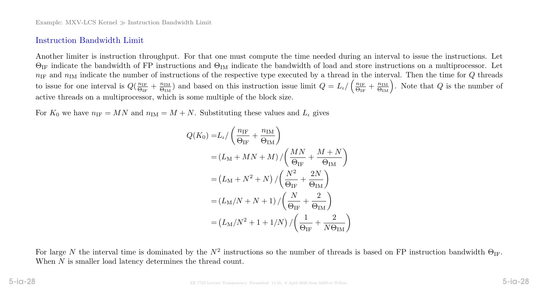### Instruction Bandwidth Limit

Another limiter is instruction throughput. For that one must compute the time needed during an interval to issue the instructions. Let  $\Theta_{IF}$  indicate the bandwidth of FP instructions and  $\Theta_{IM}$  indicate the bandwidth of load and store instructions on a multiprocessor. Let  $n_{\text{IF}}$  and  $n_{\text{IM}}$  indicate the number of instructions of the respective type executed by a thread in the interval. Then the time for Q threads to issue for one interval is  $Q(\frac{n_{\text{IF}}}{\Theta_{\text{IF}}}$  $\frac{n_{\text{IF}}}{\Theta_{\text{IF}}} + \frac{n_{\text{IM}}}{\Theta_{\text{IM}}}$  $\frac{n_{\text{IM}}}{\Theta_{\text{IM}}}$ ) and based on this instruction issue limit  $Q = L_{\iota} / (\frac{n_{\text{IF}}}{\Theta_{\text{IF}}})$  $\frac{n_{\text{IF}}}{\Theta_{\text{IF}}} + \frac{n_{\text{IM}}}{\Theta_{\text{IM}}}$ . Note that Q is the number of active threads on a multiprocessor, which is some multiple of the block size.

For  $K_0$  we have  $n_{IF} = MN$  and  $n_{IM} = M + N$ . Substituting these values and  $L_l$  gives

$$
Q(K_0) = L_l / \left(\frac{n_{\text{IF}}}{\Theta_{\text{IF}}} + \frac{n_{\text{IM}}}{\Theta_{\text{IM}}}\right)
$$
  
=  $(L_M + MN + M) / \left(\frac{MN}{\Theta_{\text{IF}}} + \frac{M + N}{\Theta_{\text{IM}}}\right)$   
=  $(L_M + N^2 + N) / \left(\frac{N^2}{\Theta_{\text{IF}}} + \frac{2N}{\Theta_{\text{IM}}}\right)$   
=  $(L_M/N + N + 1) / \left(\frac{N}{\Theta_{\text{IF}}} + \frac{2}{\Theta_{\text{IM}}}\right)$   
=  $(L_M/N^2 + 1 + 1/N) / \left(\frac{1}{\Theta_{\text{IF}}} + \frac{2}{N\Theta_{\text{IM}}}\right)$ 

For large N the interval time is dominated by the  $N^2$  instructions so the number of threads is based on FP instruction bandwidth  $\Theta_{IF}$ . When N is smaller load latency determines the thread count.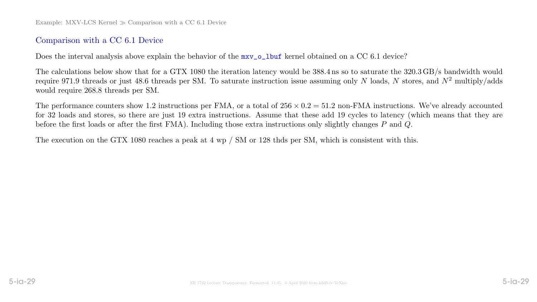# Comparison with a CC 6.1 Device

Does the interval analysis above explain the behavior of the  $mxv_0_l$  lbuf kernel obtained on a CC 6.1 device?

The calculations below show that for a GTX 1080 the iteration latency would be 388.4 ns so to saturate the 320.3 GB/s bandwidth would require 971.9 threads or just 48.6 threads per SM. To saturate instruction issue assuming only N loads, N stores, and  $N^2$  multiply/adds would require 268.8 threads per SM.

The performance counters show 1.2 instructions per FMA, or a total of  $256 \times 0.2 = 51.2$  non-FMA instructions. We've already accounted for 32 loads and stores, so there are just 19 extra instructions. Assume that these add 19 cycles to latency (which means that they are before the first loads or after the first FMA). Including those extra instructions only slightly changes P and Q.

The execution on the GTX 1080 reaches a peak at 4 wp / SM or 128 thds per SM, which is consistent with this.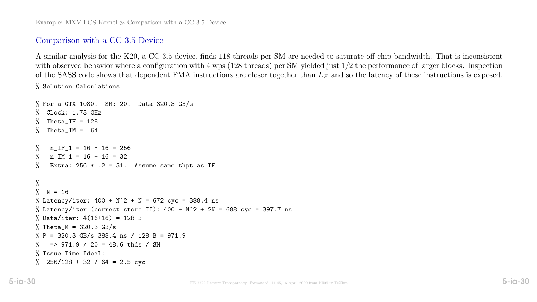Example: MXV-LCS Kernel  $\gg$  Comparison with a CC 3.5 Device

#### Comparison with a CC 3.5 Device

A similar analysis for the K20, a CC 3.5 device, finds 118 threads per SM are needed to saturate off-chip bandwidth. That is inconsistent with observed behavior where a configuration with 4 wps (128 threads) per SM yielded just  $1/2$  the performance of larger blocks. Inspection of the SASS code shows that dependent FMA instructions are closer together than  $L_F$  and so the latency of these instructions is exposed. % Solution Calculations

```
% For a GTX 1080. SM: 20. Data 320.3 GB/s
% Clock: 1.73 GHz
  Theta_IF = 128Theta_IM = 64% n IF 1 = 16 * 16 = 256\frac{\%}{\%} n_IM_1 = 16 + 16 = 32
% Extra: 256 * .2 = 51. Assume same thpt as IF
\frac{9}{6}% N = 16% Latency/iter: 400 + N^2 + N = 672 cyc = 388.4 ns
% Latency/iter (correct store II): 400 + N^2 + 2N = 688 cyc = 397.7 ns
% Data/iter: 4(16+16) = 128 B
% Theta_M = 320.3 GB/s
\% P = 320.3 GB/s 388.4 ns / 128 B = 971.9
\% => 971.9 / 20 = 48.6 thds / SM
% Issue Time Ideal:
% 256/128 + 32 / 64 = 2.5 cyc
```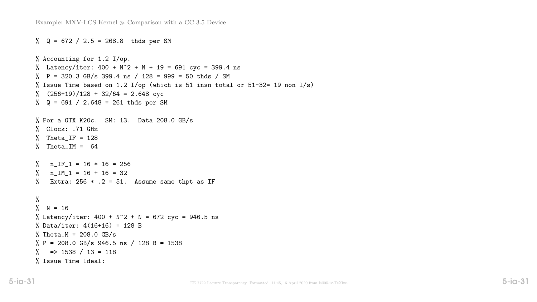```
\% Q = 672 / 2.5 = 268.8 thds per SM
% Accounting for 1.2 I/op.
% Latency/iter: 400 + N^2 + N + 19 = 691 cyc = 399.4 ns
\% P = 320.3 GB/s 399.4 ns / 128 = 999 = 50 thds / SM
% Issue Time based on 1.2 I/op (which is 51 insn total or 51-32= 19 non l/s)
\% (256+19)/128 + 32/64 = 2.648 cyc
% Q = 691 / 2.648 = 261 thds per SM
% For a GTX K20c. SM: 13. Data 208.0 GB/s
% Clock: .71 GHz
% Theta_IF = 128% Theta_IM = 64\text{\%} n_IF_1 = 16 * 16 = 256
% n IM 1 = 16 + 16 = 32% Extra: 256 * .2 = 51. Assume same thpt as IF
%
\% N = 16
% Latency/iter: 400 + N^2 + N = 672 cyc = 946.5 ns
% Data/iter: 4(16+16) = 128 B
% Theta_M = 208.0 GB/s
\% P = 208.0 GB/s 946.5 ns / 128 B = 1538
\% => 1538 / 13 = 118
% Issue Time Ideal:
```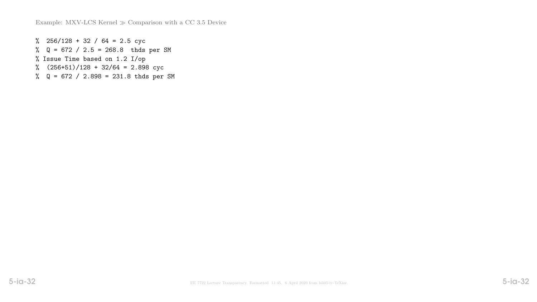Example: MXV-LCS Kernel  $\gg$  Comparison with a CC 3.5 Device

% 256/128 + 32 / 64 = 2.5 cyc % Q = 672 / 2.5 = 268.8 thds per SM % Issue Time based on 1.2 I/op % (256+51)/128 + 32/64 = 2.898 cyc

% Q = 672 / 2.898 = 231.8 thds per SM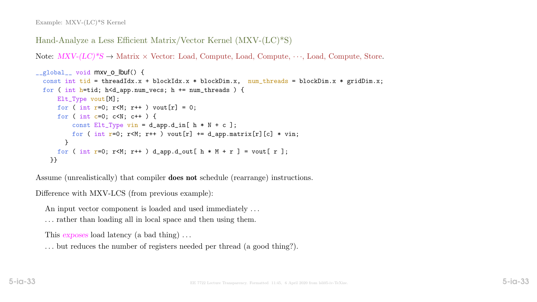```
Hand-Analyze a Less Efficient Matrix/Vector Kernel (MXV-(LC)*S)
```
Note:  $MXV-(LC)*S \rightarrow \text{Matrix} \times \text{Vector: Load}, \text{Compute}, \text{Load}, \text{Compute}, \cdots, \text{Load}, \text{Compute}, \text{Store}.$ 

```
__global__ void mxv o lbuf() {
 const int tid = threadIdx.x + blockIdx.x * blockDim.x, num_threads = blockDim.x * gridDim.x;
 for ( int h=tid; h<d_app.num_vecs; h += num_threads ) {
     Elt_Type vout[M];
     for ( int r=0; r<M; r++ ) vout[r] = 0;
     for ( int c=0; c<N; c++ ) {
         const Elt_Type vin = d_app.d_in[ h * N + c ];
         for ( int r=0; r<M; r++ ) vout[r] += d_app.matrix[r][c] * vin;
       }
     for ( int r=0; r<M; r++ ) d_app.d_out[ h * M + r ] = vout[ r ];
   }}
```
Assume (unrealistically) that compiler does not schedule (rearrange) instructions.

Difference with MXV-LCS (from previous example):

An input vector component is loaded and used immediately ...

. . . rather than loading all in local space and then using them.

This exposes load latency (a bad thing)...

. . . but reduces the number of registers needed per thread (a good thing?).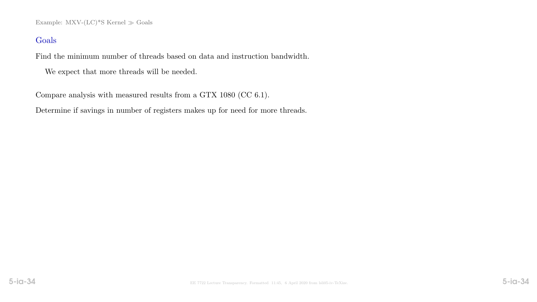Example: MXV- $(LC)*S$  Kernel  $\gg$  Goals

## Goals

Find the minimum number of threads based on data and instruction bandwidth.

We expect that more threads will be needed.

Compare analysis with measured results from a GTX 1080 (CC 6.1).

Determine if savings in number of registers makes up for need for more threads.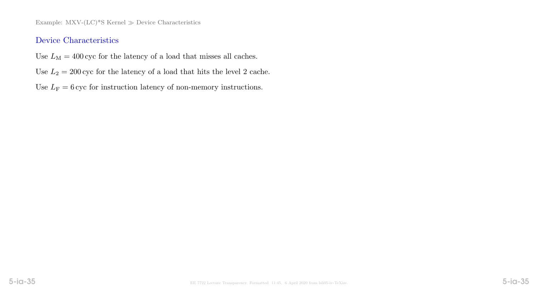Example: MXV- $(LC)^*S$  Kernel  $\gg$  Device Characteristics

## Device Characteristics

- Use  $L_M = 400$  cyc for the latency of a load that misses all caches.
- Use  $L_2 = 200$  cyc for the latency of a load that hits the level 2 cache.
- Use  $L_F = 6$  cyc for instruction latency of non-memory instructions.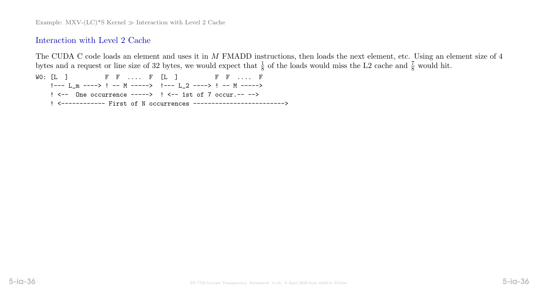## Interaction with Level 2 Cache

The CUDA C code loads an element and uses it in M FMADD instructions, then loads the next element, etc. Using an element size of 4 bytes and a request or line size of 32 bytes, we would expect that  $\frac{1}{8}$  of the loads would miss the L2 cache and  $\frac{7}{8}$  would hit.

W0: [L ] F F .... F [L ] F F .... F !--- L\_m ----> ! -- M -----> !--- L\_2 ----> ! -- M -----> ! <-- One occurrence -----> ! <-- 1st of 7 occur.-- --> ! <------------ First of N occurrences ------------------------->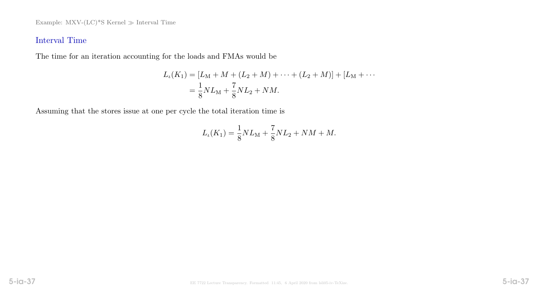Example: MXV- $(LC)^*S$  Kernel  $\gg$  Interval Time

# Interval Time

The time for an iteration accounting for the loads and FMAs would be

$$
L_{\iota}(K_{1}) = [L_{\mathcal{M}} + M + (L_{2} + M) + \cdots + (L_{2} + M)] + [L_{\mathcal{M}} + \cdots
$$
  
=  $\frac{1}{8} N L_{\mathcal{M}} + \frac{7}{8} N L_{2} + N M.$ 

Assuming that the stores issue at one per cycle the total iteration time is

$$
L_{\iota}(K_1) = \frac{1}{8} N L_{\rm M} + \frac{7}{8} N L_2 + NM + M.
$$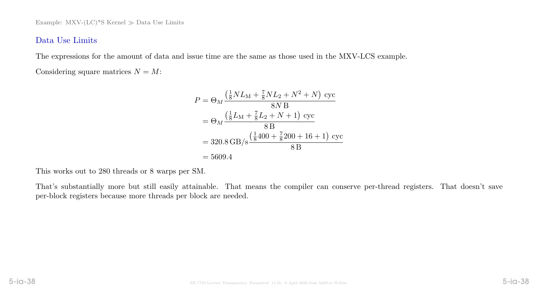# Data Use Limits

The expressions for the amount of data and issue time are the same as those used in the MXV-LCS example. Considering square matrices  $N = M$ :

$$
P = \Theta_M \frac{\left(\frac{1}{8}NL_M + \frac{7}{8}NL_2 + N^2 + N\right) \csc}{8N \, \text{B}}
$$
  
=  $\Theta_M \frac{\left(\frac{1}{8}L_M + \frac{7}{8}L_2 + N + 1\right) \csc}{8 \, \text{B}}$   
= 320.8 GB/s  $\frac{\left(\frac{1}{8}400 + \frac{7}{8}200 + 16 + 1\right) \csc}{8 \, \text{B}}$   
= 5609.4

This works out to 280 threads or 8 warps per SM.

That's substantially more but still easily attainable. That means the compiler can conserve per-thread registers. That doesn't save per-block registers because more threads per block are needed.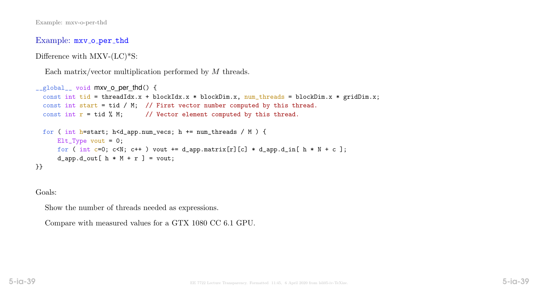Example: mxv\_o\_per\_thd

Difference with  $\text{MXV-}(\text{LC})^*$ S:

```
Each matrix/vector multiplication performed by M threads.
```

```
__global__ void mxv o per_thd() {
  const int tid = threadIdx.x + blockIdx.x * blockDim.x, num_threads = blockDim.x * gridDim.x;
  const int start = tid / M; // First vector number computed by this thread.
  const int r = \text{tid } % M; // Vector element computed by this thread.
  for ( int h=start; h<d_app.num_vecs; h += num_threads / M ) {
      Elt_T ype vout = 0;
      for ( int c=0; c<N; c++ ) vout += d_app.matrix[r][c] * d_app.d_in[ h * N + c ];
      d_app.d_out [h * M + r] = vout;
}}
```
Goals:

Show the number of threads needed as expressions.

Compare with measured values for a GTX 1080 CC 6.1 GPU.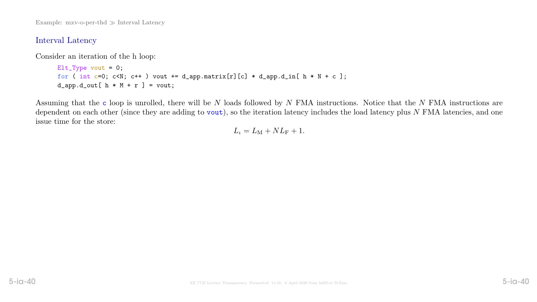Example:  $mxy$ -o-per-thd  $\gg$  Interval Latency

### Interval Latency

Consider an iteration of the h loop:

```
Elt_Type vout = 0;
for ( int c=0; c<N; c++ ) vout += d_app.matrix[r][c] * d_app.d_in[ h * N + c ];
d_app.d_out [h * M + r] = vout;
```
Assuming that the c loop is unrolled, there will be N loads followed by N FMA instructions. Notice that the N FMA instructions are dependent on each other (since they are adding to  $\text{vout}$ ), so the iteration latency includes the load latency plus N FMA latencies, and one issue time for the store:

$$
L_{\iota} = L_{\rm M} + NL_{\rm F} + 1.
$$